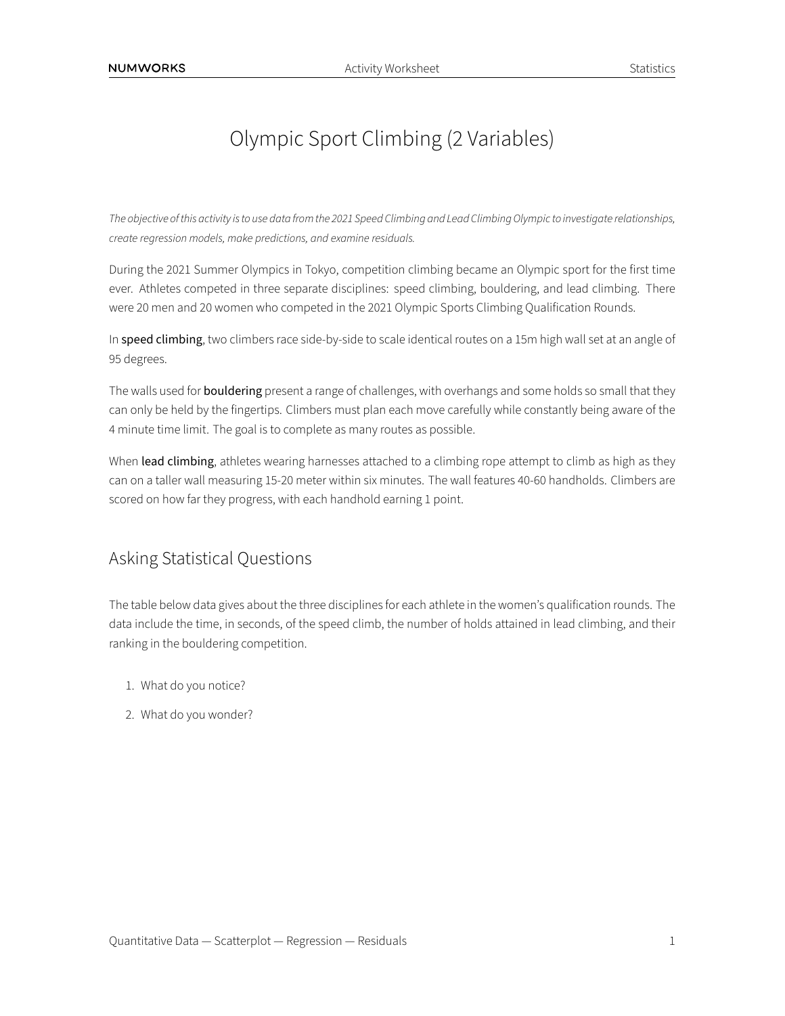# Olympic Sport Climbing (2 Variables)

*The objective ofthis activity isto use data fromthe 2021 Speed Climbing and Lead Climbing Olympicto investigate relationships, create regression models, make predictions, and examine residuals.*

During the 2021 Summer Olympics in Tokyo, competition climbing became an Olympic sport for the first time ever. Athletes competed in three separate disciplines: speed climbing, bouldering, and lead climbing. There were 20 men and 20 women who competed in the 2021 Olympic Sports Climbing Qualification Rounds.

In speed climbing, two climbers race side-by-side to scale identical routes on a 15m high wall set at an angle of 95 degrees.

The walls used for **bouldering** present a range of challenges, with overhangs and some holds so small that they can only be held by the fingertips. Climbers must plan each move carefully while constantly being aware of the 4 minute time limit. The goal is to complete as many routes as possible.

When lead climbing, athletes wearing harnesses attached to a climbing rope attempt to climb as high as they can on a taller wall measuring 15-20 meter within six minutes. The wall features 40-60 handholds. Climbers are scored on how far they progress, with each handhold earning 1 point.

## Asking Statistical Questions

The table below data gives about the three disciplines for each athlete in the women's qualification rounds. The data include the time, in seconds, of the speed climb, the number of holds attained in lead climbing, and their ranking in the bouldering competition.

- 1. What do you notice?
- 2. What do you wonder?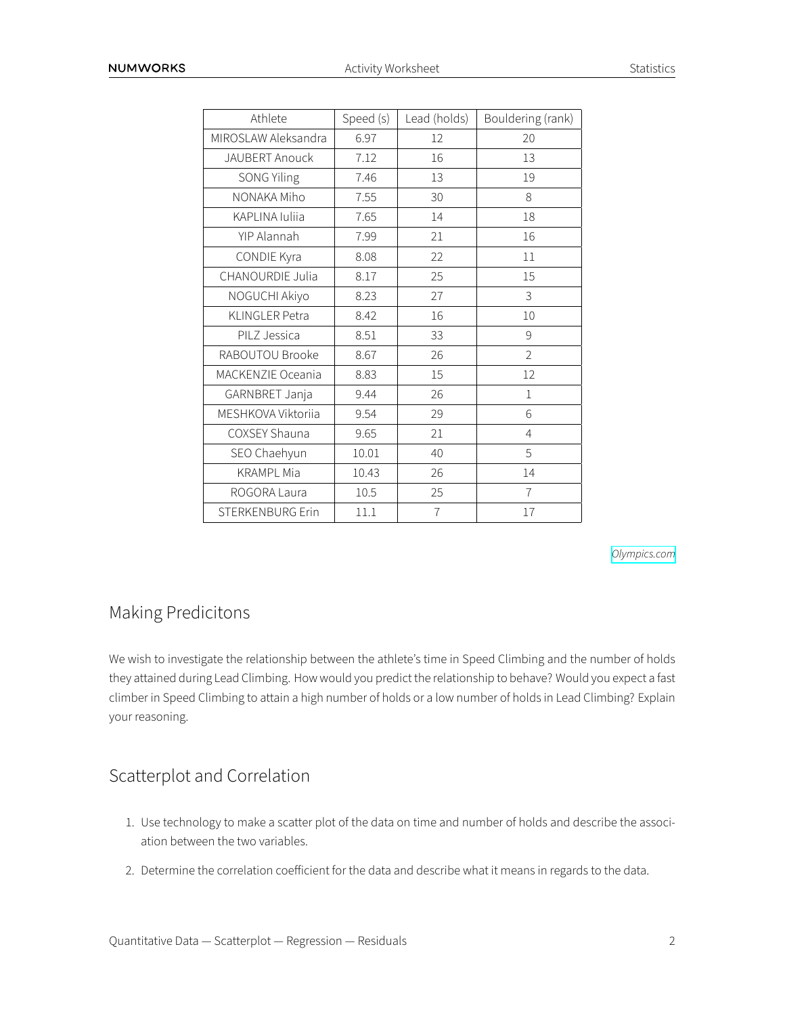| Athlete                 | Speed (s) | Lead (holds)   | Bouldering (rank) |  |
|-------------------------|-----------|----------------|-------------------|--|
| MIROSLAW Aleksandra     | 6.97      | 12             | 20                |  |
| JAUBERT Anouck          | 7.12      | 16             | 13                |  |
| <b>SONG Yiling</b>      | 7.46      | 13             | 19                |  |
| NONAKA Miho             | 7.55      | 30             | 8                 |  |
| KAPLINA Iuliia          | 7.65      | 14             | 18                |  |
| YIP Alannah             | 7.99      | 21             | 16                |  |
| CONDIE Kyra             | 8.08      | 22             | 11                |  |
| CHANOURDIE Julia        | 8.17      | 25             | 15                |  |
| NOGUCHI Akiyo           | 8.23      | 27             | 3                 |  |
| <b>KLINGLER Petra</b>   | 8.42      | 16             | 10                |  |
| PILZ Jessica            | 8.51      | 33             | 9                 |  |
| RABOUTOU Brooke         | 8.67      | 26             | $\overline{2}$    |  |
| MACKENZIE Oceania       | 8.83      | 15             | 12                |  |
| GARNBRET Janja          | 9.44      | 26             | $\mathbf{1}$      |  |
| MESHKOVA Viktoriia      | 9.54      | 29             | 6                 |  |
| COXSEY Shauna           | 9.65      | 21             | $\overline{4}$    |  |
| SEO Chaehyun            | 10.01     | 40             | 5                 |  |
| <b>KRAMPL Mia</b>       | 10.43     | 26             | 14                |  |
| ROGORA Laura            | 10.5      | 25             | $\overline{7}$    |  |
| <b>STERKENBURG Erin</b> | 11.1      | $\overline{1}$ | 17                |  |

*[Olympics.com](https://olympics.com/tokyo-2020/olympic-games/en/results/sport-climbing/results-women-s-combined-qual-0001ld-.htm)*

## Making Predicitons

We wish to investigate the relationship between the athlete's time in Speed Climbing and the number of holds they attained during Lead Climbing. How would you predict the relationship to behave? Would you expect a fast climber in Speed Climbing to attain a high number of holds or a low number of holds in Lead Climbing? Explain your reasoning.

## Scatterplot and Correlation

- 1. Use technology to make a scatter plot of the data on time and number of holds and describe the association between the two variables.
- 2. Determine the correlation coefficient for the data and describe what it means in regards to the data.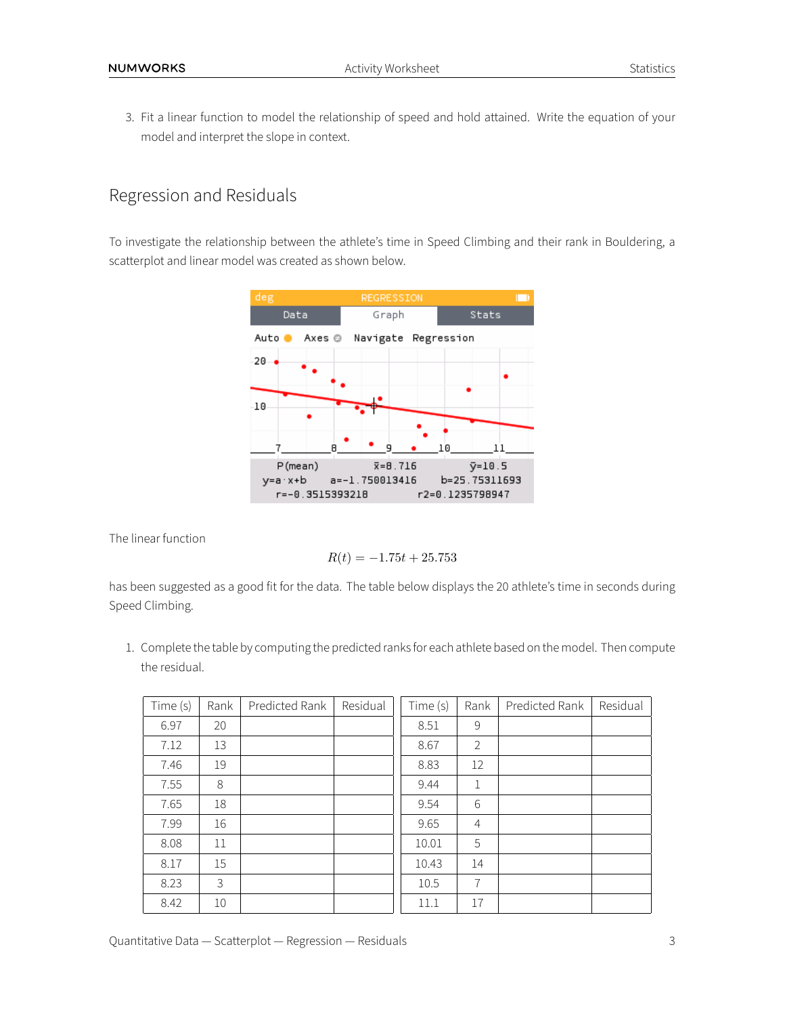3. Fit a linear function to model the relationship of speed and hold attained. Write the equation of your model and interpret the slope in context.

#### Regression and Residuals

To investigate the relationship between the athlete's time in Speed Climbing and their rank in Bouldering, a scatterplot and linear model was created as shown below.



The linear function

$$
R(t) = -1.75t + 25.753
$$

has been suggested as a good fit for the data. The table below displays the 20 athlete's time in seconds during Speed Climbing.

1. Complete the table by computing the predicted ranks for each athlete based on the model. Then compute the residual.

| Time (s) | Rank | Predicted Rank | Residual | Time (s) | Rank           | Predicted Rank | Residual |
|----------|------|----------------|----------|----------|----------------|----------------|----------|
| 6.97     | 20   |                |          | 8.51     | 9              |                |          |
| 7.12     | 13   |                |          | 8.67     | 2              |                |          |
| 7.46     | 19   |                |          | 8.83     | 12             |                |          |
| 7.55     | 8    |                |          | 9.44     | $\mathbf{1}$   |                |          |
| 7.65     | 18   |                |          | 9.54     | 6              |                |          |
| 7.99     | 16   |                |          | 9.65     | $\overline{4}$ |                |          |
| 8.08     | 11   |                |          | 10.01    | 5              |                |          |
| 8.17     | 15   |                |          | 10.43    | 14             |                |          |
| 8.23     | 3    |                |          | 10.5     | 7              |                |          |
| 8.42     | 10   |                |          | 11.1     | 17             |                |          |